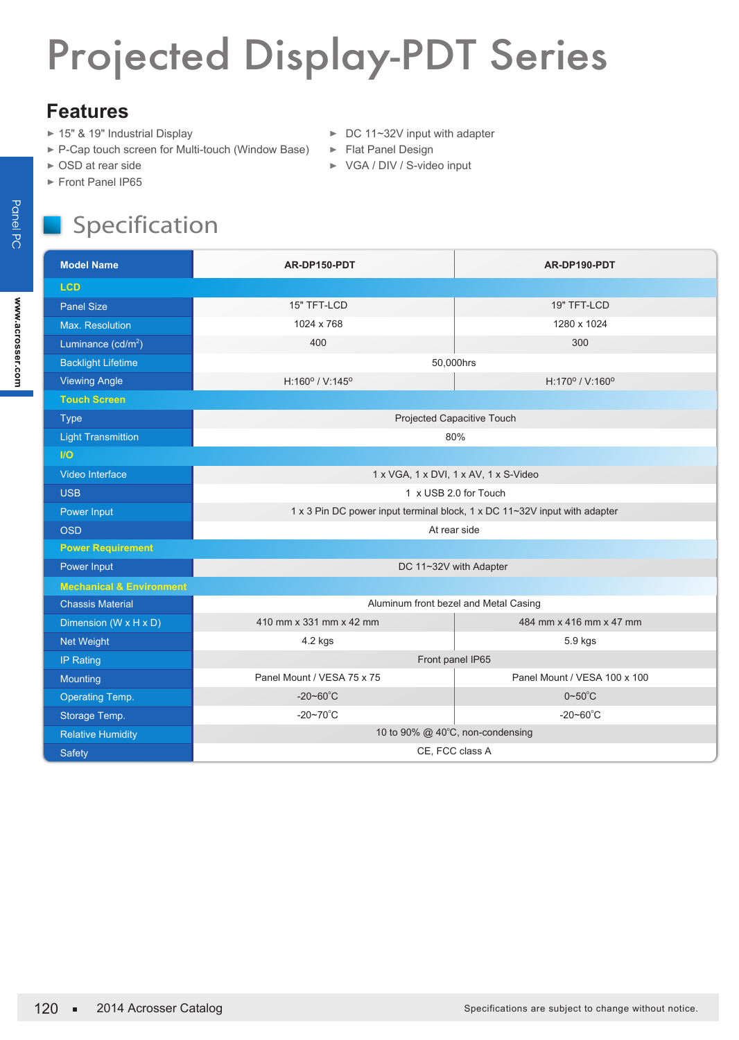## Projected Display-PDT Series

## **Features**

- ► 15" & 19" Industrial Display
- ► P-Cap touch screen for Multi-touch (Window Base)
- ► OSD at rear side
- Front Panel IP65

## ► DC 11~32V input with adapter

- ► Flat Panel Design
- ▶ VGA / DIV / S-video input

## Specification

| <b>Model Name</b>                   | AR-DP150-PDT                                                              | AR-DP190-PDT                 |
|-------------------------------------|---------------------------------------------------------------------------|------------------------------|
| <b>LCD</b>                          |                                                                           |                              |
| <b>Panel Size</b>                   | 15" TFT-LCD                                                               | 19" TFT-LCD                  |
| Max. Resolution                     | 1024 x 768                                                                | 1280 x 1024                  |
| Luminance (cd/m <sup>2</sup> )      | 400                                                                       | 300                          |
| <b>Backlight Lifetime</b>           | 50,000hrs                                                                 |                              |
| <b>Viewing Angle</b>                | $H:160^{\circ}$ / V:145°                                                  | H:170° / V:160°              |
| <b>Touch Screen</b>                 |                                                                           |                              |
| <b>Type</b>                         | Projected Capacitive Touch                                                |                              |
| <b>Light Transmittion</b>           | 80%                                                                       |                              |
| $1$                                 |                                                                           |                              |
| Video Interface                     | 1 x VGA, 1 x DVI, 1 x AV, 1 x S-Video                                     |                              |
| <b>USB</b>                          | 1 x USB 2.0 for Touch                                                     |                              |
| Power Input                         | 1 x 3 Pin DC power input terminal block, 1 x DC 11~32V input with adapter |                              |
| <b>OSD</b>                          | At rear side                                                              |                              |
| <b>Power Requirement</b>            |                                                                           |                              |
| Power Input                         | DC 11~32V with Adapter                                                    |                              |
| <b>Mechanical &amp; Environment</b> |                                                                           |                              |
| <b>Chassis Material</b>             | Aluminum front bezel and Metal Casing                                     |                              |
| Dimension (W x H x D)               | 410 mm x 331 mm x 42 mm                                                   | 484 mm x 416 mm x 47 mm      |
| <b>Net Weight</b>                   | 4.2 kgs                                                                   | 5.9 kgs                      |
| <b>IP Rating</b>                    | Front panel IP65                                                          |                              |
| Mounting                            | Panel Mount / VESA 75 x 75                                                | Panel Mount / VESA 100 x 100 |
| Operating Temp.                     | $-20 - 60^{\circ}$ C                                                      | $0 \sim 50^{\circ}$ C        |
| Storage Temp.                       | $-20 - 70^{\circ}$ C                                                      | $-20 - 60^{\circ}$ C         |
| <b>Relative Humidity</b>            | 10 to 90% @ 40°C, non-condensing                                          |                              |
| Safety                              | CE, FCC class A                                                           |                              |